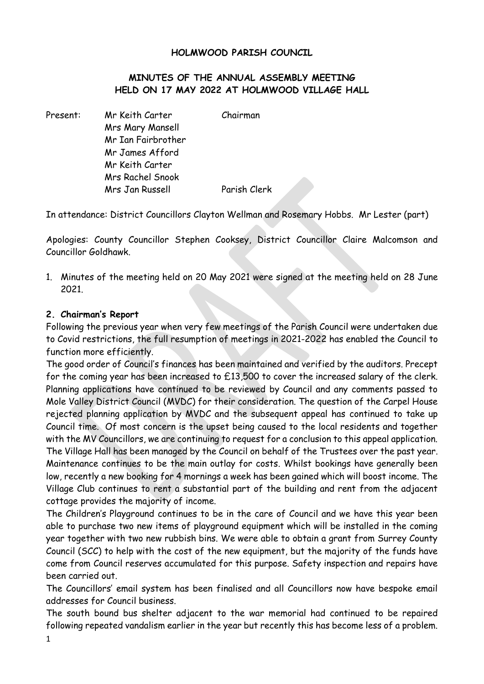## **HOLMWOOD PARISH COUNCIL**

## **MINUTES OF THE ANNUAL ASSEMBLY MEETING HELD ON 17 MAY 2022 AT HOLMWOOD VILLAGE HALL**

Present: Mr Keith Carter Chairman Mrs Mary Mansell Mr Ian Fairbrother Mr James Afford Mr Keith Carter Mrs Rachel Snook Mrs Jan Russell Parish Clerk

In attendance: District Councillors Clayton Wellman and Rosemary Hobbs. Mr Lester (part)

Apologies: County Councillor Stephen Cooksey, District Councillor Claire Malcomson and Councillor Goldhawk.

1. Minutes of the meeting held on 20 May 2021 were signed at the meeting held on 28 June 2021.

## **2. Chairman's Report**

Following the previous year when very few meetings of the Parish Council were undertaken due to Covid restrictions, the full resumption of meetings in 2021-2022 has enabled the Council to function more efficiently.

The good order of Council's finances has been maintained and verified by the auditors. Precept for the coming year has been increased to £13,500 to cover the increased salary of the clerk. Planning applications have continued to be reviewed by Council and any comments passed to Mole Valley District Council (MVDC) for their consideration. The question of the Carpel House rejected planning application by MVDC and the subsequent appeal has continued to take up Council time. Of most concern is the upset being caused to the local residents and together with the MV Councillors, we are continuing to request for a conclusion to this appeal application. The Village Hall has been managed by the Council on behalf of the Trustees over the past year. Maintenance continues to be the main outlay for costs. Whilst bookings have generally been low, recently a new booking for 4 mornings a week has been gained which will boost income. The Village Club continues to rent a substantial part of the building and rent from the adjacent cottage provides the majority of income.

The Children's Playground continues to be in the care of Council and we have this year been able to purchase two new items of playground equipment which will be installed in the coming year together with two new rubbish bins. We were able to obtain a grant from Surrey County Council (SCC) to help with the cost of the new equipment, but the majority of the funds have come from Council reserves accumulated for this purpose. Safety inspection and repairs have been carried out.

The Councillors' email system has been finalised and all Councillors now have bespoke email addresses for Council business.

The south bound bus shelter adjacent to the war memorial had continued to be repaired following repeated vandalism earlier in the year but recently this has become less of a problem.